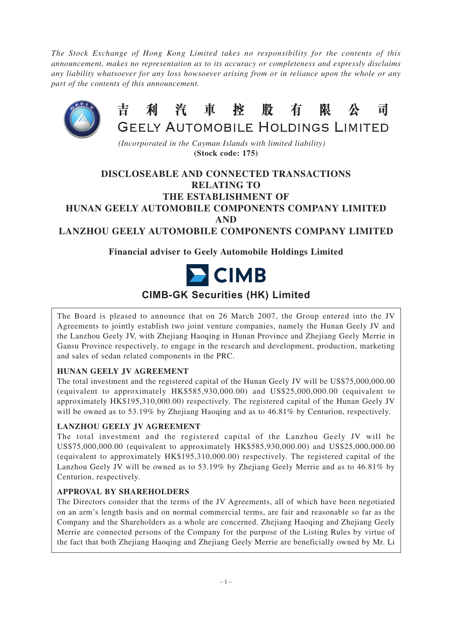*The Stock Exchange of Hong Kong Limited takes no responsibility for the contents of this announcement, makes no representation as to its accuracy or completeness and expressly disclaims any liability whatsoever for any loss howsoever arising from or in reliance upon the whole or any part of the contents of this announcement.*



*(Incorporated in the Cayman Islands with limited liability)* **(Stock code: 175)**

# **DISCLOSEABLE AND CONNECTED TRANSACTIONS RELATING TO THE ESTABLISHMENT OF HUNAN GEELY AUTOMOBILE COMPONENTS COMPANY LIMITED AND LANZHOU GEELY AUTOMOBILE COMPONENTS COMPANY LIMITED**

# **Financial adviser to Geely Automobile Holdings Limited**



# **CIMB-GK Securities (HK) Limited**

The Board is pleased to announce that on 26 March 2007, the Group entered into the JV Agreements to jointly establish two joint venture companies, namely the Hunan Geely JV and the Lanzhou Geely JV, with Zhejiang Haoqing in Hunan Province and Zhejiang Geely Merrie in Gansu Province respectively, to engage in the research and development, production, marketing and sales of sedan related components in the PRC.

# **HUNAN GEELY JV AGREEMENT**

The total investment and the registered capital of the Hunan Geely JV will be US\$75,000,000.00 (equivalent to approximately HK\$585,930,000.00) and US\$25,000,000.00 (equivalent to approximately HK\$195,310,000.00) respectively. The registered capital of the Hunan Geely JV will be owned as to 53.19% by Zhejiang Haoqing and as to 46.81% by Centurion, respectively.

# **LANZHOU GEELY JV AGREEMENT**

The total investment and the registered capital of the Lanzhou Geely JV will be US\$75,000,000.00 (equivalent to approximately HK\$585,930,000.00) and US\$25,000,000.00 (equivalent to approximately HK\$195,310,000.00) respectively. The registered capital of the Lanzhou Geely JV will be owned as to 53.19% by Zhejiang Geely Merrie and as to 46.81% by Centurion, respectively.

## **APPROVAL BY SHAREHOLDERS**

The Directors consider that the terms of the JV Agreements, all of which have been negotiated on an arm's length basis and on normal commercial terms, are fair and reasonable so far as the Company and the Shareholders as a whole are concerned. Zhejiang Haoqing and Zhejiang Geely Merrie are connected persons of the Company for the purpose of the Listing Rules by virtue of the fact that both Zhejiang Haoqing and Zhejiang Geely Merrie are beneficially owned by Mr. Li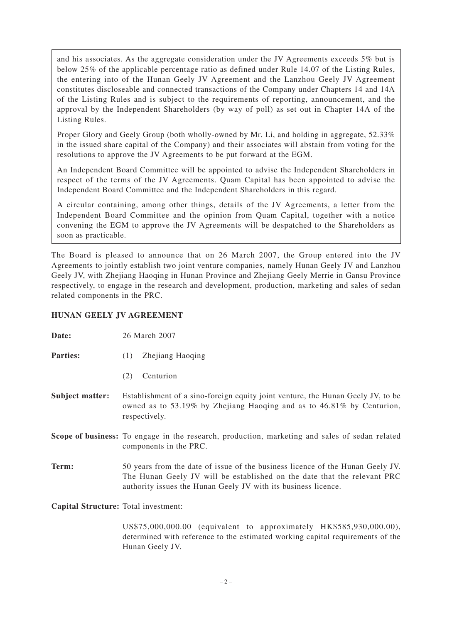and his associates. As the aggregate consideration under the JV Agreements exceeds 5% but is below 25% of the applicable percentage ratio as defined under Rule 14.07 of the Listing Rules, the entering into of the Hunan Geely JV Agreement and the Lanzhou Geely JV Agreement constitutes discloseable and connected transactions of the Company under Chapters 14 and 14A of the Listing Rules and is subject to the requirements of reporting, announcement, and the approval by the Independent Shareholders (by way of poll) as set out in Chapter 14A of the Listing Rules.

Proper Glory and Geely Group (both wholly-owned by Mr. Li, and holding in aggregate, 52.33% in the issued share capital of the Company) and their associates will abstain from voting for the resolutions to approve the JV Agreements to be put forward at the EGM.

An Independent Board Committee will be appointed to advise the Independent Shareholders in respect of the terms of the JV Agreements. Quam Capital has been appointed to advise the Independent Board Committee and the Independent Shareholders in this regard.

A circular containing, among other things, details of the JV Agreements, a letter from the Independent Board Committee and the opinion from Quam Capital, together with a notice convening the EGM to approve the JV Agreements will be despatched to the Shareholders as soon as practicable.

The Board is pleased to announce that on 26 March 2007, the Group entered into the JV Agreements to jointly establish two joint venture companies, namely Hunan Geely JV and Lanzhou Geely JV, with Zhejiang Haoqing in Hunan Province and Zhejiang Geely Merrie in Gansu Province respectively, to engage in the research and development, production, marketing and sales of sedan related components in the PRC.

## **HUNAN GEELY JV AGREEMENT**

| Date:                                | 26 March 2007                                                                                                                                                                                                                |  |
|--------------------------------------|------------------------------------------------------------------------------------------------------------------------------------------------------------------------------------------------------------------------------|--|
| <b>Parties:</b>                      | Zhejiang Haoqing<br>(1)                                                                                                                                                                                                      |  |
|                                      | Centurion<br>(2)                                                                                                                                                                                                             |  |
| <b>Subject matter:</b>               | Establishment of a sino-foreign equity joint venture, the Hunan Geely JV, to be<br>owned as to 53.19% by Zhejiang Haoqing and as to 46.81% by Centurion,<br>respectively.                                                    |  |
|                                      | <b>Scope of business:</b> To engage in the research, production, marketing and sales of sedan related<br>components in the PRC.                                                                                              |  |
| Term:                                | 50 years from the date of issue of the business licence of the Hunan Geely JV.<br>The Hunan Geely JV will be established on the date that the relevant PRC<br>authority issues the Hunan Geely JV with its business licence. |  |
| Capital Structure: Total investment: |                                                                                                                                                                                                                              |  |

US\$75,000,000.00 (equivalent to approximately HK\$585,930,000.00), determined with reference to the estimated working capital requirements of the Hunan Geely JV.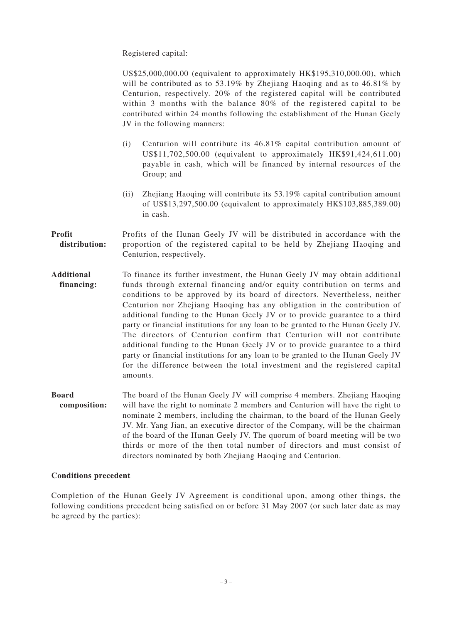Registered capital:

US\$25,000,000.00 (equivalent to approximately HK\$195,310,000.00), which will be contributed as to 53.19% by Zhejiang Haoqing and as to 46.81% by Centurion, respectively. 20% of the registered capital will be contributed within 3 months with the balance 80% of the registered capital to be contributed within 24 months following the establishment of the Hunan Geely JV in the following manners:

- (i) Centurion will contribute its 46.81% capital contribution amount of US\$11,702,500.00 (equivalent to approximately HK\$91,424,611.00) payable in cash, which will be financed by internal resources of the Group; and
- (ii) Zhejiang Haoqing will contribute its 53.19% capital contribution amount of US\$13,297,500.00 (equivalent to approximately HK\$103,885,389.00) in cash.
- **Profit** Profits of the Hunan Geely JV will be distributed in accordance with the distribution: proportion of the registered capital to be held by Zhejiang Haoqing and Centurion, respectively.
- **Additional** To finance its further investment, the Hunan Geely JV may obtain additional **financing:** funds through external financing and/or equity contribution on terms and conditions to be approved by its board of directors. Nevertheless, neither Centurion nor Zhejiang Haoqing has any obligation in the contribution of additional funding to the Hunan Geely JV or to provide guarantee to a third party or financial institutions for any loan to be granted to the Hunan Geely JV. The directors of Centurion confirm that Centurion will not contribute additional funding to the Hunan Geely JV or to provide guarantee to a third party or financial institutions for any loan to be granted to the Hunan Geely JV for the difference between the total investment and the registered capital amounts.
- **Board** The board of the Hunan Geely JV will comprise 4 members. Zhejiang Haoqing **composition:** will have the right to nominate 2 members and Centurion will have the right to nominate 2 members, including the chairman, to the board of the Hunan Geely JV. Mr. Yang Jian, an executive director of the Company, will be the chairman of the board of the Hunan Geely JV. The quorum of board meeting will be two thirds or more of the then total number of directors and must consist of directors nominated by both Zhejiang Haoqing and Centurion.

#### **Conditions precedent**

Completion of the Hunan Geely JV Agreement is conditional upon, among other things, the following conditions precedent being satisfied on or before 31 May 2007 (or such later date as may be agreed by the parties):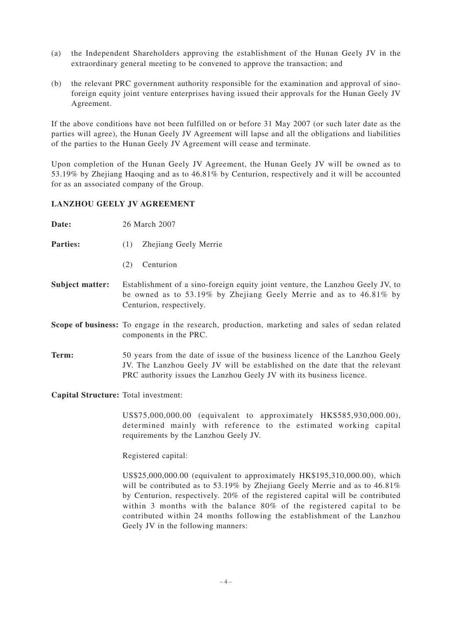- (a) the Independent Shareholders approving the establishment of the Hunan Geely JV in the extraordinary general meeting to be convened to approve the transaction; and
- (b) the relevant PRC government authority responsible for the examination and approval of sinoforeign equity joint venture enterprises having issued their approvals for the Hunan Geely JV Agreement.

If the above conditions have not been fulfilled on or before 31 May 2007 (or such later date as the parties will agree), the Hunan Geely JV Agreement will lapse and all the obligations and liabilities of the parties to the Hunan Geely JV Agreement will cease and terminate.

Upon completion of the Hunan Geely JV Agreement, the Hunan Geely JV will be owned as to 53.19% by Zhejiang Haoqing and as to 46.81% by Centurion, respectively and it will be accounted for as an associated company of the Group.

#### **LANZHOU GEELY JV AGREEMENT**

| Date:                                | 26 March 2007                                                                                                                                                                                                                      |  |
|--------------------------------------|------------------------------------------------------------------------------------------------------------------------------------------------------------------------------------------------------------------------------------|--|
| <b>Parties:</b>                      | Zhejiang Geely Merrie<br>(1)                                                                                                                                                                                                       |  |
|                                      | Centurion<br>(2)                                                                                                                                                                                                                   |  |
| <b>Subject matter:</b>               | Establishment of a sino-foreign equity joint venture, the Lanzhou Geely JV, to<br>be owned as to 53.19% by Zhejiang Geely Merrie and as to $46.81\%$ by<br>Centurion, respectively.                                                |  |
|                                      | Scope of business: To engage in the research, production, marketing and sales of sedan related<br>components in the PRC.                                                                                                           |  |
| Term:                                | 50 years from the date of issue of the business licence of the Lanzhou Geely<br>JV. The Lanzhou Geely JV will be established on the date that the relevant<br>PRC authority issues the Lanzhou Geely JV with its business licence. |  |
| Capital Structure: Total investment: |                                                                                                                                                                                                                                    |  |

US\$75,000,000.00 (equivalent to approximately HK\$585,930,000.00), determined mainly with reference to the estimated working capital requirements by the Lanzhou Geely JV.

Registered capital:

US\$25,000,000.00 (equivalent to approximately HK\$195,310,000.00), which will be contributed as to 53.19% by Zhejiang Geely Merrie and as to 46.81% by Centurion, respectively. 20% of the registered capital will be contributed within 3 months with the balance 80% of the registered capital to be contributed within 24 months following the establishment of the Lanzhou Geely JV in the following manners: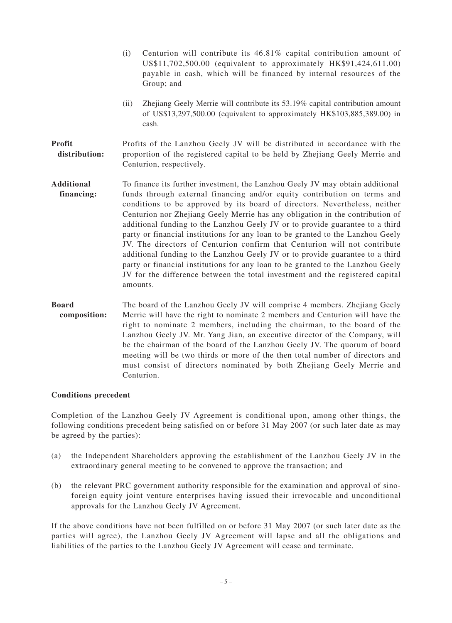- (i) Centurion will contribute its 46.81% capital contribution amount of US\$11,702,500.00 (equivalent to approximately HK\$91,424,611.00) payable in cash, which will be financed by internal resources of the Group; and
- (ii) Zhejiang Geely Merrie will contribute its 53.19% capital contribution amount of US\$13,297,500.00 (equivalent to approximately HK\$103,885,389.00) in cash.

## **Profit** Profits of the Lanzhou Geely JV will be distributed in accordance with the distribution: proportion of the registered capital to be held by Zhejiang Geely Merrie and Centurion, respectively.

- **Additional** To finance its further investment, the Lanzhou Geely JV may obtain additional **financing:** funds through external financing and/or equity contribution on terms and conditions to be approved by its board of directors. Nevertheless, neither Centurion nor Zhejiang Geely Merrie has any obligation in the contribution of additional funding to the Lanzhou Geely JV or to provide guarantee to a third party or financial institutions for any loan to be granted to the Lanzhou Geely JV. The directors of Centurion confirm that Centurion will not contribute additional funding to the Lanzhou Geely JV or to provide guarantee to a third party or financial institutions for any loan to be granted to the Lanzhou Geely JV for the difference between the total investment and the registered capital amounts.
- **Board** The board of the Lanzhou Geely JV will comprise 4 members. Zhejiang Geely **composition:** Merrie will have the right to nominate 2 members and Centurion will have the right to nominate 2 members, including the chairman, to the board of the Lanzhou Geely JV. Mr. Yang Jian, an executive director of the Company, will be the chairman of the board of the Lanzhou Geely JV. The quorum of board meeting will be two thirds or more of the then total number of directors and must consist of directors nominated by both Zhejiang Geely Merrie and Centurion.

## **Conditions precedent**

Completion of the Lanzhou Geely JV Agreement is conditional upon, among other things, the following conditions precedent being satisfied on or before 31 May 2007 (or such later date as may be agreed by the parties):

- (a) the Independent Shareholders approving the establishment of the Lanzhou Geely JV in the extraordinary general meeting to be convened to approve the transaction; and
- (b) the relevant PRC government authority responsible for the examination and approval of sinoforeign equity joint venture enterprises having issued their irrevocable and unconditional approvals for the Lanzhou Geely JV Agreement.

If the above conditions have not been fulfilled on or before 31 May 2007 (or such later date as the parties will agree), the Lanzhou Geely JV Agreement will lapse and all the obligations and liabilities of the parties to the Lanzhou Geely JV Agreement will cease and terminate.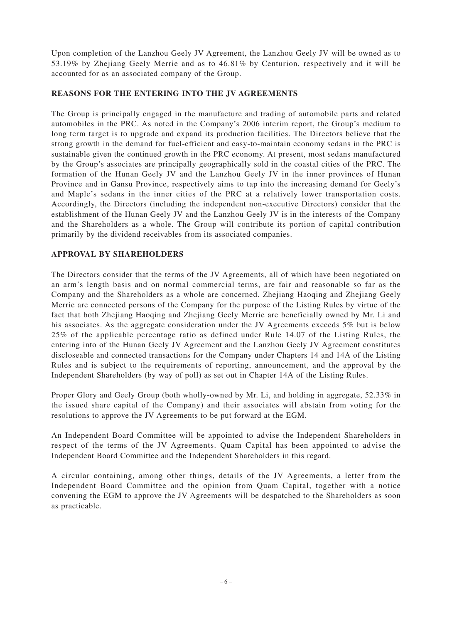Upon completion of the Lanzhou Geely JV Agreement, the Lanzhou Geely JV will be owned as to 53.19% by Zhejiang Geely Merrie and as to 46.81% by Centurion, respectively and it will be accounted for as an associated company of the Group.

## **REASONS FOR THE ENTERING INTO THE JV AGREEMENTS**

The Group is principally engaged in the manufacture and trading of automobile parts and related automobiles in the PRC. As noted in the Company's 2006 interim report, the Group's medium to long term target is to upgrade and expand its production facilities. The Directors believe that the strong growth in the demand for fuel-efficient and easy-to-maintain economy sedans in the PRC is sustainable given the continued growth in the PRC economy. At present, most sedans manufactured by the Group's associates are principally geographically sold in the coastal cities of the PRC. The formation of the Hunan Geely JV and the Lanzhou Geely JV in the inner provinces of Hunan Province and in Gansu Province, respectively aims to tap into the increasing demand for Geely's and Maple's sedans in the inner cities of the PRC at a relatively lower transportation costs. Accordingly, the Directors (including the independent non-executive Directors) consider that the establishment of the Hunan Geely JV and the Lanzhou Geely JV is in the interests of the Company and the Shareholders as a whole. The Group will contribute its portion of capital contribution primarily by the dividend receivables from its associated companies.

## **APPROVAL BY SHAREHOLDERS**

The Directors consider that the terms of the JV Agreements, all of which have been negotiated on an arm's length basis and on normal commercial terms, are fair and reasonable so far as the Company and the Shareholders as a whole are concerned. Zhejiang Haoqing and Zhejiang Geely Merrie are connected persons of the Company for the purpose of the Listing Rules by virtue of the fact that both Zhejiang Haoqing and Zhejiang Geely Merrie are beneficially owned by Mr. Li and his associates. As the aggregate consideration under the JV Agreements exceeds 5% but is below 25% of the applicable percentage ratio as defined under Rule 14.07 of the Listing Rules, the entering into of the Hunan Geely JV Agreement and the Lanzhou Geely JV Agreement constitutes discloseable and connected transactions for the Company under Chapters 14 and 14A of the Listing Rules and is subject to the requirements of reporting, announcement, and the approval by the Independent Shareholders (by way of poll) as set out in Chapter 14A of the Listing Rules.

Proper Glory and Geely Group (both wholly-owned by Mr. Li, and holding in aggregate, 52.33% in the issued share capital of the Company) and their associates will abstain from voting for the resolutions to approve the JV Agreements to be put forward at the EGM.

An Independent Board Committee will be appointed to advise the Independent Shareholders in respect of the terms of the JV Agreements. Quam Capital has been appointed to advise the Independent Board Committee and the Independent Shareholders in this regard.

A circular containing, among other things, details of the JV Agreements, a letter from the Independent Board Committee and the opinion from Quam Capital, together with a notice convening the EGM to approve the JV Agreements will be despatched to the Shareholders as soon as practicable.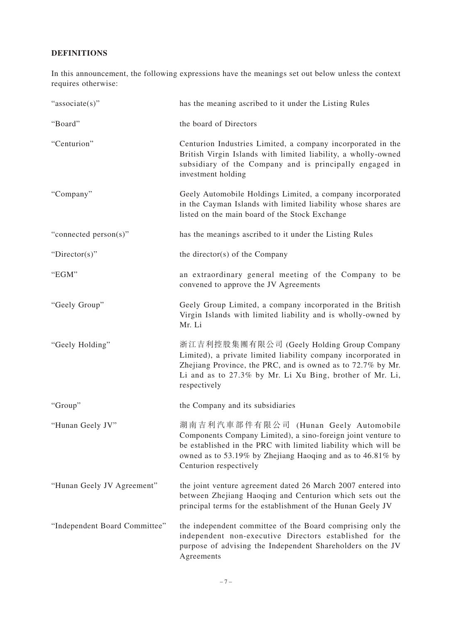# **DEFINITIONS**

In this announcement, the following expressions have the meanings set out below unless the context requires otherwise:

| "associate(s)"                | has the meaning ascribed to it under the Listing Rules                                                                                                                                                                                                         |
|-------------------------------|----------------------------------------------------------------------------------------------------------------------------------------------------------------------------------------------------------------------------------------------------------------|
| "Board"                       | the board of Directors                                                                                                                                                                                                                                         |
| "Centurion"                   | Centurion Industries Limited, a company incorporated in the<br>British Virgin Islands with limited liability, a wholly-owned<br>subsidiary of the Company and is principally engaged in<br>investment holding                                                  |
| "Company"                     | Geely Automobile Holdings Limited, a company incorporated<br>in the Cayman Islands with limited liability whose shares are<br>listed on the main board of the Stock Exchange                                                                                   |
| "connected person(s)"         | has the meanings ascribed to it under the Listing Rules                                                                                                                                                                                                        |
| "Director(s)"                 | the director(s) of the Company                                                                                                                                                                                                                                 |
| "EGM"                         | an extraordinary general meeting of the Company to be<br>convened to approve the JV Agreements                                                                                                                                                                 |
| "Geely Group"                 | Geely Group Limited, a company incorporated in the British<br>Virgin Islands with limited liability and is wholly-owned by<br>Mr. Li                                                                                                                           |
| "Geely Holding"               | 浙江吉利控股集團有限公司 (Geely Holding Group Company<br>Limited), a private limited liability company incorporated in<br>Zhejiang Province, the PRC, and is owned as to 72.7% by Mr.<br>Li and as to 27.3% by Mr. Li Xu Bing, brother of Mr. Li,<br>respectively          |
| "Group"                       | the Company and its subsidiaries                                                                                                                                                                                                                               |
| "Hunan Geely JV"              | 湖南吉利汽車部件有限公司 (Hunan Geely Automobile<br>Components Company Limited), a sino-foreign joint venture to<br>be established in the PRC with limited liability which will be<br>owned as to 53.19% by Zhejiang Haoqing and as to 46.81% by<br>Centurion respectively |
| "Hunan Geely JV Agreement"    | the joint venture agreement dated 26 March 2007 entered into<br>between Zhejiang Haoqing and Centurion which sets out the<br>principal terms for the establishment of the Hunan Geely JV                                                                       |
| "Independent Board Committee" | the independent committee of the Board comprising only the<br>independent non-executive Directors established for the<br>purpose of advising the Independent Shareholders on the JV<br>Agreements                                                              |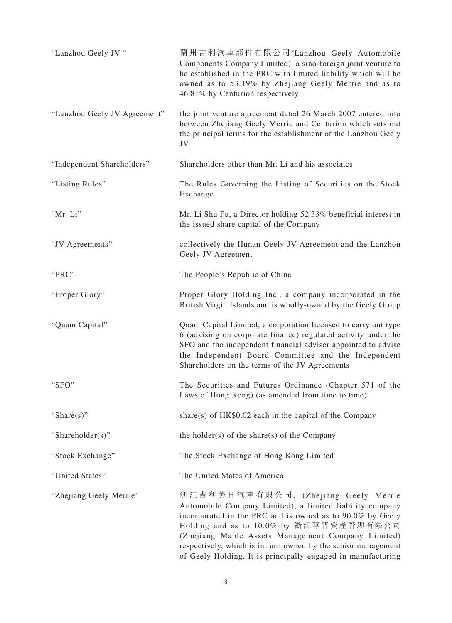| "Lanzhou Geely JV "          | 蘭州吉利汽車部件有限公司(Lanzhou Geely Automobile<br>Components Company Limited), a sino-foreign joint venture to<br>be established in the PRC with limited liability which will be<br>owned as to 53.19% by Zhejiang Geely Merrie and as to<br>46.81% by Centurion respectively                                                                                                                            |
|------------------------------|-------------------------------------------------------------------------------------------------------------------------------------------------------------------------------------------------------------------------------------------------------------------------------------------------------------------------------------------------------------------------------------------------|
| "Lanzhou Geely JV Agreement" | the joint venture agreement dated 26 March 2007 entered into<br>between Zhejiang Geely Merrie and Centurion which sets out<br>the principal terms for the establishment of the Lanzhou Geely<br>JV                                                                                                                                                                                              |
| "Independent Shareholders"   | Shareholders other than Mr. Li and his associates                                                                                                                                                                                                                                                                                                                                               |
| "Listing Rules"              | The Rules Governing the Listing of Securities on the Stock<br>Exchange                                                                                                                                                                                                                                                                                                                          |
| "Mr. Li"                     | Mr. Li Shu Fu, a Director holding 52.33% beneficial interest in<br>the issued share capital of the Company                                                                                                                                                                                                                                                                                      |
| "JV Agreements"              | collectively the Hunan Geely JV Agreement and the Lanzhou<br>Geely JV Agreement                                                                                                                                                                                                                                                                                                                 |
| "PRC"                        | The People's Republic of China                                                                                                                                                                                                                                                                                                                                                                  |
| "Proper Glory"               | Proper Glory Holding Inc., a company incorporated in the<br>British Virgin Islands and is wholly-owned by the Geely Group                                                                                                                                                                                                                                                                       |
| "Quam Capital"               | Quam Capital Limited, a corporation licensed to carry out type<br>6 (advising on corporate finance) regulated activity under the<br>SFO and the independent financial adviser appointed to advise<br>the Independent Board Committee and the Independent<br>Shareholders on the terms of the JV Agreements                                                                                      |
| "SFO"                        | The Securities and Futures Ordinance (Chapter 571 of the<br>Laws of Hong Kong) (as amended from time to time)                                                                                                                                                                                                                                                                                   |
| "Share $(s)$ "               | share(s) of $HK$0.02$ each in the capital of the Company                                                                                                                                                                                                                                                                                                                                        |
| "Shareholder(s)"             | the holder(s) of the share(s) of the Company                                                                                                                                                                                                                                                                                                                                                    |
| "Stock Exchange"             | The Stock Exchange of Hong Kong Limited                                                                                                                                                                                                                                                                                                                                                         |
| "United States"              | The United States of America                                                                                                                                                                                                                                                                                                                                                                    |
| "Zhejiang Geely Merrie"      | 浙江吉利美日汽車有限公司, (Zhejiang Geely Merrie<br>Automobile Company Limited), a limited liability company<br>incorporated in the PRC and is owned as to 90.0% by Geely<br>Holding and as to 10.0% by 浙江華普資產管理有限公司<br>(Zhejiang Maple Assets Management Company Limited)<br>respectively, which is in turn owned by the senior management<br>of Geely Holding. It is principally engaged in manufacturing |